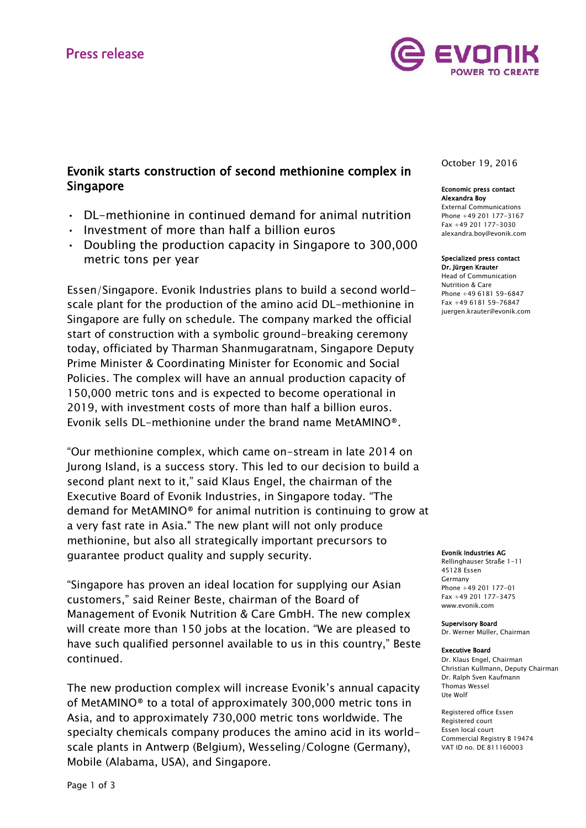

# Evonik starts construction of second methionine complex in Singapore

- DL-methionine in continued demand for animal nutrition
- Investment of more than half a billion euros
- Doubling the production capacity in Singapore to 300,000 metric tons per year

Essen/Singapore. Evonik Industries plans to build a second worldscale plant for the production of the amino acid DL-methionine in Singapore are fully on schedule. The company marked the official start of construction with a symbolic ground-breaking ceremony today, officiated by Tharman Shanmugaratnam, Singapore Deputy Prime Minister & Coordinating Minister for Economic and Social Policies. The complex will have an annual production capacity of 150,000 metric tons and is expected to become operational in 2019, with investment costs of more than half a billion euros. Evonik sells DL-methionine under the brand name MetAMINO®.

"Our methionine complex, which came on-stream in late 2014 on Jurong Island, is a success story. This led to our decision to build a second plant next to it," said Klaus Engel, the chairman of the Executive Board of Evonik Industries, in Singapore today. "The demand for MetAMINO® for animal nutrition is continuing to grow at a very fast rate in Asia." The new plant will not only produce methionine, but also all strategically important precursors to guarantee product quality and supply security.

"Singapore has proven an ideal location for supplying our Asian customers," said Reiner Beste, chairman of the Board of Management of Evonik Nutrition & Care GmbH. The new complex will create more than 150 jobs at the location. "We are pleased to have such qualified personnel available to us in this country," Beste continued.

The new production complex will increase Evonik's annual capacity of MetAMINO® to a total of approximately 300,000 metric tons in Asia, and to approximately 730,000 metric tons worldwide. The specialty chemicals company produces the amino acid in its worldscale plants in Antwerp (Belgium), Wesseling/Cologne (Germany), Mobile (Alabama, USA), and Singapore.

October 19, 2016

#### Economic press contact Alexandra Boy

External Communications Phone +49 201 177-3167 Fax +49 201 177-3030 alexandra.boy@evonik.com

#### Specialized press contact Dr. Jürgen Krauter

Head of Communication Nutrition & Care Phone +49 6181 59-6847 Fax +49 6181 59-76847 juergen.krauter@evonik.com

#### Evonik Industries AG

Rellinghauser Straße 1-11 45128 Essen Germany Phone +49 201 177-01 Fax +49 201 177-3475 www.evonik.com

Supervisory Board Dr. Werner Müller, Chairman

#### Executive Board

Dr. Klaus Engel, Chairman Christian Kullmann, Deputy Chairman Dr. Ralph Sven Kaufmann Thomas Wessel Ute Wolf

Registered office Essen Registered court Essen local court Commercial Registry B 19474 VAT ID no. DE 811160003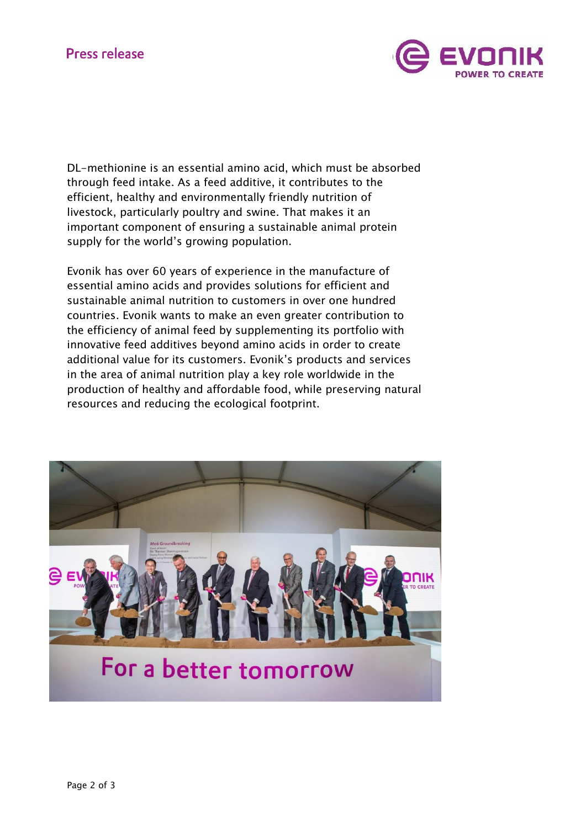

DL-methionine is an essential amino acid, which must be absorbed through feed intake. As a feed additive, it contributes to the efficient, healthy and environmentally friendly nutrition of livestock, particularly poultry and swine. That makes it an important component of ensuring a sustainable animal protein supply for the world's growing population.

Evonik has over 60 years of experience in the manufacture of essential amino acids and provides solutions for efficient and sustainable animal nutrition to customers in over one hundred countries. Evonik wants to make an even greater contribution to the efficiency of animal feed by supplementing its portfolio with innovative feed additives beyond amino acids in order to create additional value for its customers. Evonik's products and services in the area of animal nutrition play a key role worldwide in the production of healthy and affordable food, while preserving natural resources and reducing the ecological footprint.